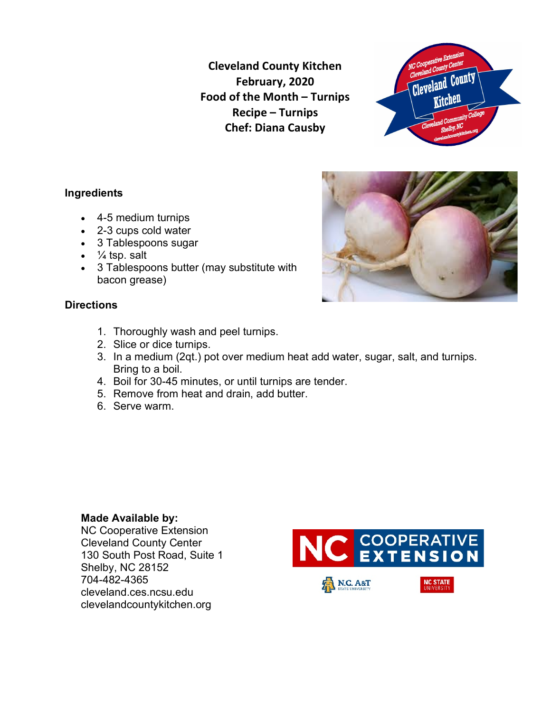**Cleveland County Kitchen February, 2020 Food of the Month – Turnips Recipe – Turnips Chef: Diana Causby**



## **Ingredients**

- 4-5 medium turnips
- 2-3 cups cold water
- 3 Tablespoons sugar
- $\frac{1}{4}$  tsp. salt
- 3 Tablespoons butter (may substitute with bacon grease)

#### **Directions**

- 1. Thoroughly wash and peel turnips.
- 2. Slice or dice turnips.
- 3. In a medium (2qt.) pot over medium heat add water, sugar, salt, and turnips. Bring to a boil.
- 4. Boil for 30-45 minutes, or until turnips are tender.
- 5. Remove from heat and drain, add butter.
- 6. Serve warm.

### **Made Available by:**

NC Cooperative Extension Cleveland County Center 130 South Post Road, Suite 1 Shelby, NC 28152 704-482-4365 cleveland.ces.ncsu.edu clevelandcountykitchen.org